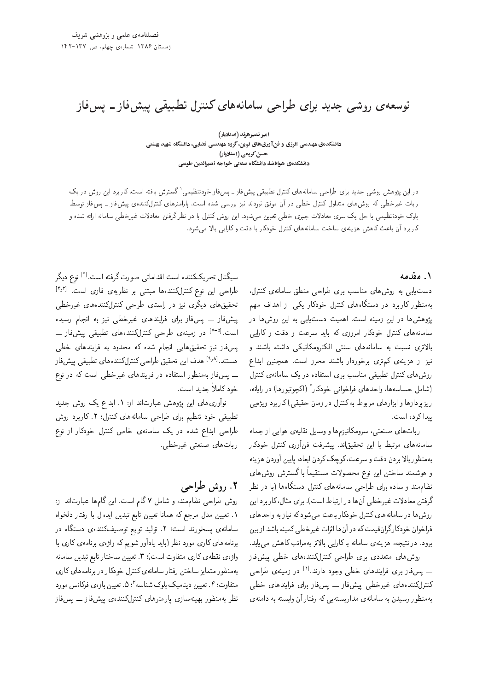# توسعهی روشی جدید برای طراحی سامانههای کنترل تطبیقی پیش فاز ـ پس فاز

<sub>ا</sub>میر نصیرهرند (استادیار) دانشکدهی مهندسی انرژی و فن آوریهای نوین، گروه مهندسی فضایی، دانشگاه شهید بهشتی حسن کریمی (استادیار) دانشکدهی هوافضا، دانشگاه صنعتی خواجه نصیرالدین طوسی

در این پژوهش روشی جدید برای طراحی سامانههای کنترل تطبیقی پیش فاز ــ پس فاز خودتنظیمی` گسترش یافته است. کاربرد این روش در یک<br>باری میلمون است و استفاده کرده و ایران آن میلمونی و میلمون به دست و ایران استفاده است که برای در ربات غیرخطی که روشهای متداول کنترل خطی در آن موفق نبودند نیز بررسی شده است. پارلمترهای کنترلکنندهی پیش(فاز ـ پسفاز توسط بلوک خودتنظیمی با حل یک سری معادلات جبری خطی تعیین میشود. این روش کنترل با در نظرگرفتن معادلات غیرخطی سامانه ارائه شده و كاربرد أن باعث كاهش هزينهى ساخت سامانههاى كنترل خودكار با دقت وكارايي بالا مى شود.

#### ١. مقدمه

دست یابی به روش های مناسب برای طراحی منطق سامانهی کنترل، به منظور کاربرد در دستگاههای کنترل خودکار یکی از اهداف مهم یژوهشها در این زمینه است. اهمیت دستیابی به این روشها در سامانههای کنترل خودکار امروزی که باید سرعت و دقت و کارایی بالاترى نسبت به سامانههاى سنتى الكترومكانيكى داشته باشند و نیز از هزینهی کم تری برخوردار باشند محرز است. همچنین ابداع روش های کنترل تطبیقی مناسب برای استفاده در یک سامانهی کنترل (شامل حساسهها، واحدهای فراخوانی خودکار<sup>۲</sup> (اکچوتیورها) در رایانه،<br>مصطلحه استفاده استفاده میشود. ریزپردازها و ابزارهای مربوط به کنترل در زمان حقیقی)کاربرد ویژهیی ييدا كرده است.

رباتهای صنعتی، سرومکانیزمها و وسایل نقلیهی هوایی از جمله سامانههای مرتبط با این تحقیقاند. پیشرفت فن آوری کنترل خودکار به منظور بالا بردن دقت و سرعت، كوچك كردن ابعاد، پايين آوردن هزينه و هوشمند ساختن این نوع محصولات مستقیماً با کسترش روش های<br>مال نظام مند و ساده برای طراحی سامانههای کنترل دستگاهها (با در نظر گرفتن معادلات غیرخطی آن ها در ارتباط است). برای مثال، کار برد این روش ها در سامانههای کنترل خودکار باعث می شود که نیاز به واحدهای فراخوان خودکار گران قیمت که در آن ها اثرات غیرخطی کمینه باشد از بین برود. در نتیجه، هزینهی سامانه باکارایی بالاتر بهمراتب کاهش می یابد. روش های متعددی برای طراحی کنترلکنندههای خطی پیش فاز ـــ پس،فاز برای فرایندهای خطبی وجود دارند.<sup>[۱]</sup> در زمینهی طراحی<br>بر دیم كنترلكنندههاى غيرخطى ييش،فاز \_\_ يس،فاز براى فرايندهاى خطى به منظور رسیدن به سامانهی مداریستهیی که رفتار آن وابسته به دامنهی

سیگنال تحریککننده است اقداماتی صورت گرفته است.<sup>[۲]</sup> نوع **د**یگر<br>پل [4w3] "CU= |R=i |x} Q\_v Q@ |vD@t =yxOvvmpQDvm `wv u}= |L=Q] تحقیق های دیگری نیز در راستای طراحی کنترلکنندههای غیرخطی پیش فاز ۔۔ پس فاز برای فرایندهای غیرخطی نیز به انجام رسیده است.<sup>[۷-۵]</sup> در زمینهی طراحی کنترلکنندههای تطبیقی پیشفاز ــ<br>... يسفار نيز تحقيق هايي انجام شده كه محدود به فرايندهاى خطى هستند.<sup>[۱۰و</sup>] هدف این تحقیق طراحی کنترلکنندههای تطبیقی پیش فاز<br>نامه استان استفاده استان باری باری بارستان استفادهای بار ــ پس فار به منظور استفاده در فرایندهای غیرخطی است که در نوع خود كاملاً جديد است.

نوآوری های این پژوهش عبارت|ند از: ۱. ابداع یک روش جدید تطبیقی خود تنظیم برای طراحی سامانههای کنترل؛ ۲. کاربرد روش طراحی ابداع شده در یک سامانهی خاص کنترل خودکار از نوع ربات های صنعتی غیرخطی.

# ٢. روش طراحي

روش طراحی نظام مند، و شامل ۷ گام است. این گامها عبارتاند از: ٠. تعيين مدل مرجع كه همانا تعيين تابع تبديل ايدهال با رفتار دلخواه سامانهى پسخوراند است؛ ٢. توليد توابع توصيفكنندهى دستگاه در برنامههای کاری مورد نظر (باید یادآور شویم که واژهی برنامهی کاری با واژهى نقطهى كارى متفاوت است)؛ ٣. تعيين ساختار تابع تبديل سامانه به منظور متمايز ساختن رفتار سامانهي كنترل خودكار در برنامههاي كاري متفاوت؛ ۴ . تعیین دینامیک بلوک شناسه ". ۵ . تعیین بازهی فرکانس مورد<br>ما نظر به منظور بهینه سازی پارامترهای کنترلکنندهی پیش فاز \_\_ پس فاز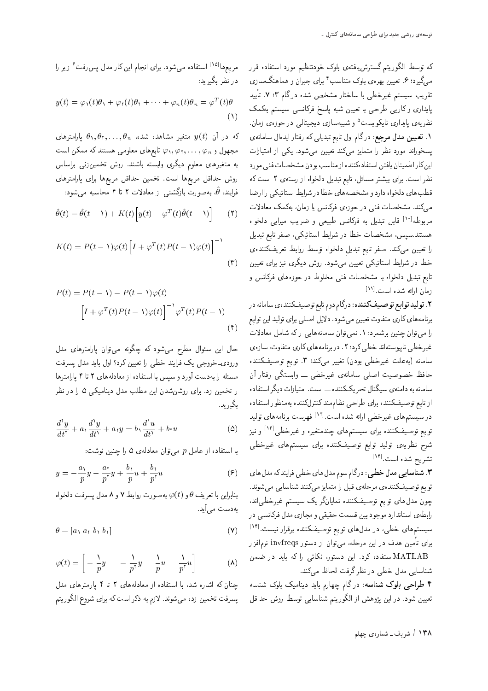که توسط الگوریتم گسترش،افتهی بلوک خودتنظیم مورد استفاده قرار میگیرد؛ ۶. تعیین بهرهی بلوک متناسب ٔ برای جبران و هماهنگسازی تقریب سیستم غیرخطی با ساختار مشخص شده درگام ۰۲ تأیید پایداری وکارایی طراحی با تعیین شبه پاسخ فرکانسی سیستم بهکمک نظریهی پایداری نایکویست<sup>۵</sup> و شبیهسازی دیجیتال<sub>ی</sub> در حوزهی زمان. ۱. تعیین مدل مرجع: درگام اول تابع تبدیل<sub>ی</sub> که رفتار ایدهال سامان*هی* پسخوراند مورد نظر را متمایز میکند تعیین میشود. یکی از امتیازات این کار اطمینان یافتن استفادهکننده از مناسب بودن مشخصات فنی مورد نظر است. برای بیشتر مسائل، تابع تبدیل دلخواه از رستهی ۲ است که قطب هاي دلخواه دارد و مشخصه هاي خطا در شرايط استاتيكي را ارضا میکند. مشخصات فنی در حوزهی فرکانس یا زمان، بهکمک معادلات مربوطه<sup>[۱۰]</sup> قابل تبدیل به فرکانس طبیعی و ضریب میرایی دلخواه هستند.سپس، مشخصات خطا در شرایط استاتیکی، صفر تابع تبدیل را تعیین میکند. صفر تابع تبدیل دلخواه توسط روابط تعریفکنندهی خطا در شرایط استاتیکی تعیین میشود. روش دیگری نیز برای تعیین تابع تبدیل دلخواه با مشخصات فنی مخلوط در حوزههای فرکانس و زمان ارائه شده است. [۱۱]

۲ . تولید توابع توصیفکننده: درگام دوم تابع توصیفکنندهی سامانه در برنامههای کاری متفاوت تعیین میشود. دلایل اصلبی برای تولید این توابع را می توان چنین برشمرد: ۱. نمی توان سامانههایی راکه شامل معادلات غیرخطی ناپیوستهاند خطی کرد؛ ۲ . در برنامههای کاری متفاوت، سازهی سامانه (به علت غيرخطي بودن) تغيير مي كند؛ ٣. توابع توصيف كننده حافظ خصوصیت اصلی سامانهی غیرخطی ــ وابستگی رفتار آن سامانه به دامنهى سيگنال تحريككننده \_\_ است. امتيازات ديگر استفاده از تابع توصيفكننده براي طراحي نظام مند كنترلكننده به منظور استفاده در سیستمهای غیرخطی ارائه شده است.<sup>[۱۲]</sup> فهرست برنامههای تولید توابع توصیفکننده برای سیستمهای چندمتغیره و غیرخطی<sup>[۱۳]</sup> و نیز شرح نظریهی تولید توابع توصیفکننده برای سیستمهای غیرخطی تشريح شده است.[۱۴]

۴. شناسايي مدل خطي: درگام سوم مدل هاي خطي فرايند كه مدل هاي توابع توصیفکنندهی مرحلهی قبل را متمایز میکنند شناسایی میشوند. چون مدل های توابع توصیفکننده نمایانگر یک سیستم غیرخطی اند، رابطهی استاندارد موجود بین قسمت حقیقی و مجازی مدل فرکانسی در سیستمهای خطی، در مدلهای توابع توصیفکننده برقرار نیست.[۱۴] برای تأمین هدف در این مرحله، می $\vec{v}$ ان از دستور invfreqs نرمافزار MATLABاستفاده کرد. این دستور، نکاتی را که باید در ضمن شناسایی مدل خطی در نظر گرفت لحاظ میکند.

۴ طراحی بلوک شناسه: درگام چهارم باید دینامیک بلوک شناسه تعیین شود. در این پژوهش از الگوریتم شناسایی توسط روش حداقل

مربعها $^{\lceil \lceil \Delta \rceil \rceil}$ استفاده میشود. برای انجام این کار مدل پس رفت ٔ زیر را در نظر بگیرید:

$$
y(t) = \varphi_1(t)\theta_1 + \varphi_1(t)\theta_1 + \cdots + \varphi_n(t)\theta_n = \varphi^T(t)\theta
$$
\n(1)

که در آن  $y(t)$  متغیر مشاهده شده،  $\theta_n$ ,  $\theta_1, \ldots, \theta_n$  پارامترهای مجهول و  $\varphi_n, \varphi_1, \ldots, \varphi_n$  تابعهای معلومی هستند که ممکن است به متغیرهای معلوم دیگری وابسته باشند. روش تخمینزنی براساس روش حداقل مربعها است. تخمین حداقل مربعها برای پارامترهای فرایند،  $\hat{\theta}$ ، بهصورت بازگشتبی از معادلات ۲ تا ۴ محاسبه می شود:

$$
\hat{\theta}(t) = \hat{\theta}(t - \lambda) + K(t) \Big[ y(t) - \varphi^{T}(t) \hat{\theta}(t - \lambda) \Big] \qquad (7)
$$

$$
K(t) = P(t - \lambda)\varphi(t)\Big[I + \varphi^{T}(t)P(t - \lambda)\varphi(t)\Big]^{-\lambda}
$$
\n<sup>(</sup>)

$$
P(t) = P(t - \lambda) - P(t - \lambda)\varphi(t)
$$

$$
\left[I + \varphi^{T}(t)P(t - \lambda)\varphi(t)\right]^{-\lambda}\varphi^{T}(t)P(t - \lambda)
$$
(f)

حال این سئوال مطرح می شود که چگونه می توان پارامترهای مدل ورودی۔خروجی یک فرایند خطی را تعیین کرد؟ اول باید مدل پسرفت مسئله را بهدست آورد و سپس با استفاده از معادلههای ۲ تا ۴ پارامترها را تخمین زد. برای روشنشدن این مطلب مدل دینامیکی ۵ را در نظر بگىر بد.

$$
\frac{d^{\dagger}y}{dt^{\dagger}} + a_{\dagger}\frac{d^{\dagger}y}{dt^{\dagger}} + a_{\dagger}y = b_{\dagger}\frac{d^{\dagger}u}{dt^{\dagger}} + b_{\dagger}u \tag{2}
$$

با استفاده از عامل p می توان معادلهی ۵ را چنین نوشت:

$$
y = -\frac{a_1}{p}y - \frac{a_1}{p^{\tau}}y + \frac{b_1}{p}u + \frac{b_1}{p^{\tau}}u \tag{9}
$$

بنابراین با تعریف  $\theta$  و  $\varphi(t)$  به صورت روابط ۷ و ۸ مدل پسرفت دلخواه بەدست مے آئد.

$$
\theta = [a_1 \ a_1 \ b_1 \ b_1] \tag{V}
$$

$$
\varphi(t) = \left[ -\frac{\lambda}{p}y - \frac{\lambda}{p^{\tau}}y - \frac{\lambda}{p}u - \frac{\lambda}{p^{\tau}}u \right] \tag{A}
$$

چنان که اشاره شد، با استفاده از معادلههای ۲ تا ۴ پارامترهای مدل پسرفت تخمین زده میشوند. لازم به ذکر است که برای شروع الگوریتم

۱۳۸ / شریف ــ شمارهی چهلم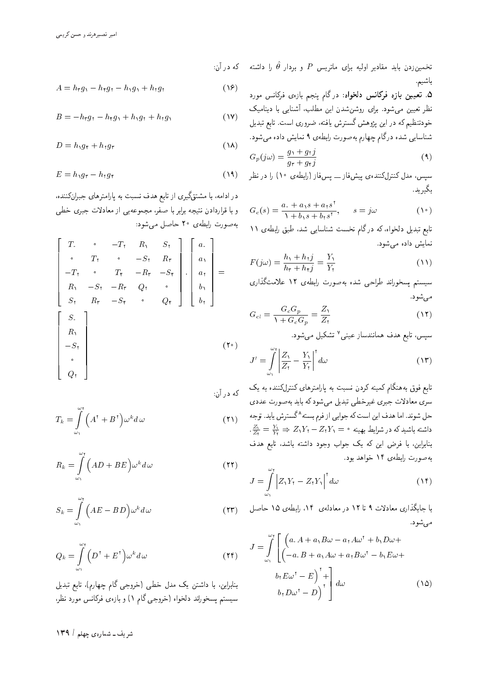تخمینزردن باید مقادیر اولیه برای ماتریس P و بردار  $\hat{\theta}$  را داشته  $\,$  که در آن: $\,$ باشيم.

> ۵. تعیین بازه فرکانس دلخواه: در گام پنجم بازهی فرکانس مورد<br>نظر تعیین میشود. برای روشنشدن این مطلب، آشنایی با دینامیک تصر تغیین می سود. برای روسن سدن این مصدب، استایی با دینامیک<br>مسیحات است حود مطیم ده در این پروهس نسترس یافته، صروری است. تابع تبدیل<br>مطالبات شناسایی شده درگام چهارم به صورت رابطهی ۹ نمایش داده می شود.

$$
G_p(j\omega) = \frac{g_1 + g_1j}{g_1 + g_1j} \tag{1}
$$

سیس، مدل کنترلکنندهی پیشفار ـــ پس فار (رابطهی ۱۰) را در نظر بگيريد.

$$
G_c(s) = \frac{a_s + a_1 s + a_1 s^2}{1 + b_1 s + b_1 s^2}, \qquad s = j\omega
$$
 (1°)

نابع بدیل دنحواه، که در کام تحسب سناسایی سد، طبق رابطهی ۱۱<br>مطالب المصدر نمايش داده مى شود.

$$
F(j\omega) = \frac{h_1 + h_1 j}{h_1 + h_1 j} = \frac{Y_1}{Y_1}
$$
\n(11)

سیستم پسخوراند طراحی شده بهصورت رابطهی ۱۲ علامتگذاری مي شود.

$$
G_{cl} = \frac{G_c G_p}{\lambda + G_c G_p} = \frac{Z_{\lambda}}{Z_{\lambda}}
$$
 (17)

سپس، تابع هدف همانندساز عینی<sup>۷</sup> تشکیل میشود.<br>.

$$
J' = \int_{\omega_1}^{\omega_1} \left| \frac{Z_1}{Z_1} - \frac{Y_1}{Y_1} \right|^{\dagger} d\omega \tag{17}
$$

تابع فوق بههنگام کمینه کردن نسبت به پارامترهای کنترلکننده به یک<br>سری معادلات جبری غیرخطی تبدیل می شودکه باید بهصورت عددی سری معادلات جبری عیرحصی تبدیل می سود که باید به صورت عددی<br>ما مدینه است و است که از کرده حل شوند. اما هدف این است که جوابی از فرم بسته^گسترش یابد. توجه<br>باید ساید کرده باید ایران "  $\frac{Z_1}{Z_7} = \frac{Y_1}{Y_7} \Rightarrow Z_1Y_7 - Z_7Y_1 = \circ$  داشته باشیدکه در شرایط بهینه بنابراین، با فرض این که یک جواب وجود داشته باشد، تابع هدف به صورت رابطهی ١۴ خواهد بود.

$$
J = \int_{\omega_1}^{\omega_\tau} \left| Z_1 Y_\tau - Z_\tau Y_\tau \right|^{\tau} d\omega \tag{14}
$$

با جایگذاری معادلات ۹ تا ۱۲ در معادلهی ۱۴، رابطهی ۱۵ جاصل مي شود.

$$
J = \int_{\omega_1}^{\omega_{\tau}} \left[ \begin{pmatrix} a \cdot A + a_1 B \omega - a_1 A \omega^{\tau} + b_1 D \omega + \\ (-a \cdot B + a_1 A \omega + a_1 B \omega^{\tau} - b_1 E \omega + \\ b_1 E \omega^{\tau} - E \end{pmatrix}^{\tau} + \right] d\omega
$$
 (10)

$$
A = h_{\tau} g_{\nu} - h_{\tau} g_{\tau} - h_{\nu} g_{\nu} + h_{\tau} g_{\tau}
$$
 (19)

$$
B = -h_{\tau}g_{\tau} - h_{\tau}g_{\tau} + h_{\tau}g_{\tau} + h_{\tau}g_{\tau}
$$
 (1V)

$$
D = h_1 g_{\mathfrak{r}} + h_{\mathfrak{r}} g_{\mathfrak{r}} \tag{14}
$$

$$
E = h_1 g_{\mathfrak{r}} - h_{\mathfrak{r}} g_{\mathfrak{r}} \tag{14}
$$

در ادامه، با مشتقگیری از تابع هدف نسبت به پارامترهای جبرانکننده، و با قراردادن نتیجه برابر با صفر، مجموعهیی از معادلات جبری خطی به صورت رابطهي ٢٥ حاصل مي شود:

$$
\begin{bmatrix}\nT_{\cdot} & \cdot & -T_{\tau} & R_{\cdot} & S_{\tau} \\
\cdot & T_{\tau} & \cdot & -S_{\tau} & R_{\tau} \\
-T_{\tau} & \cdot & T_{\tau} & -R_{\tau} & -S_{\tau} \\
R_{\cdot} & -S_{\tau} & -R_{\tau} & Q_{\tau} & \cdot \\
S_{\tau} & R_{\tau} & -S_{\tau} & \cdot & Q_{\tau}\n\end{bmatrix}\n\cdot\n\begin{bmatrix}\na_{\cdot} \\
a_{\cdot} \\
a_{\tau} \\
b_{\cdot} \\
b_{\tau}\n\end{bmatrix} = \n\begin{bmatrix}\nS_{\cdot} \\
R_{\cdot} \\
R_{\cdot} \\
-S_{\tau} \\
\cdot \\
0\n\end{bmatrix}
$$
\n(7.1)

%u; QO xm

$$
T_k = \int_{\omega_1}^{\omega_{\mathfrak{r}}} \left( A^{\mathfrak{r}} + B^{\mathfrak{r}} \right) \omega^k d\omega \tag{11}
$$

$$
R_k = \int_{\omega_1}^{\omega_1} \left( AD + BE \right) \omega^k d\omega \tag{11}
$$

$$
S_k = \int_{\omega_1}^{\omega_{\tau}} \left( AE - BD \right) \omega^k d\omega \tag{17}
$$

$$
Q_k = \int_{\omega_1}^{\omega_{\mathfrak{r}}} \left( D^{\mathfrak{r}} + E^{\mathfrak{r}} \right) \omega^k d\omega \tag{14}
$$

بنابراین، با داشتن یک مدل خطی (خروجی گام چهارم)، تابع تبدیل سیستم پسخوراند دلخواه (خروجی گام ۱) و بازهی فرکانس مورد نظر،

شریف ــ شمارهی چهلم **| ۱۳۹**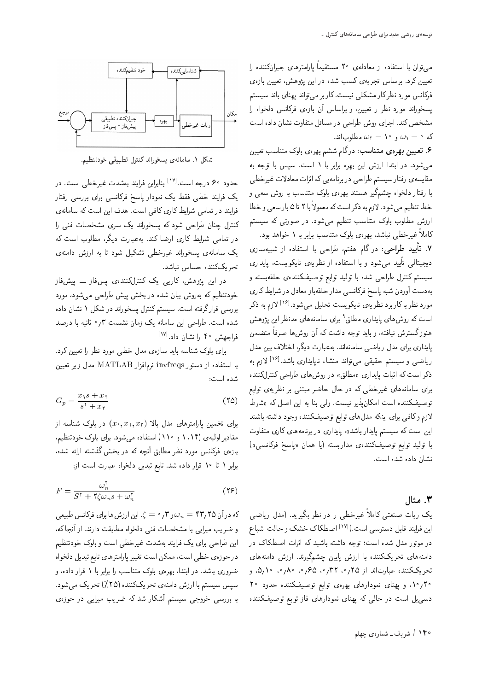می توان با استفاده از معادلهی °۲ مستقیماً پارامترهای جبران(مننده را<br>بر تعیین درد. براساس تجربهی نسب سده در این پژوهس، تعیین بازهی<br>. ۱۰ قرناسن مورد نظر تار مسلالی نیست تاریز می تواند پهنای باند سیستم<br>مسلمان پسخوراند مورد نظر را تعیین، و براساس آن بازهى فركانس دلخواه را مشخص كند. اجراى روش طراحى در مسائل متفاوت نشان داده است که  $\omega_{\rm T} = \sqrt{\omega_{\rm T}} = 10$  مطلوب اند.

. تعیبین بهرهی متناسب: درگام ششم بهرهی بلوک متناسب تعیین  ${\cal S}$ می شود. در ابتدا ارزش این بهره برابر با ١ است. سپس با توجه به مقایسه ی رفتار سیستم طراحی در برنامهیی که اثرات معادلات غیرخطی با رفتار دلخواه چشمگیر هستند بهرهی بلوک متناسب با روش سعی و خطا تنظیم میشود. لازم به ددر است ده معمولا با ۲ تا ۵ بار سعی و خطا<br>استفادهای این ارزش مطلوب بلوک متناسب تنظیم میشود. در صورتی که سیستم کاملاً غیرخطی نباشد، بهرهی بلوک متناسب برابر با ۱ خواهد بود.

|R=Ux}@W R= xO=iDU= =@ |L=Q] 'sDiy s=o QO %|L=Q] O}} -=D "7 دیجیتالی تایید می شود و با استفاده از نظریهی نایکویست، پایداری<br>بر میدارا سیستم کنترل طراحی شده با تولید توابع توصیفکنندهی حلقهبسته و بهدست آوردن شبه پاسخ فركانسبي مدار حلقهباز معادل در شرايط كارى مورد نظر باکاربرد نظریهی نایکویست تحلیل میشود.<sup>[۱۶]</sup> لازم به ذکر<br>ا است که روش های پایداری مطلق<sup>۹</sup> برای سامانههای مدنظر این پژوهش<br>گ هنوزگسترش نیافته، و باید توجه داشت که آن روشها صرفاً متضمن پایداری برای مدل ریاضی سامانهاند. بهعبارت دیگر، اختلاف بین مدل ریاضی و سیستم حقیقی میتواند منشاء ناپایداری باشد.[۱۶] لازم به<br>بهرسان کربانیا و سایت ذکر است که اثبات پایداری «مطلق» در روش های طراحی کنترلکننده برای سامانههای غیرخطی که در حال حاضر مبتنی بر نظریهی توابع توصیفکننده است امکان پذیر نیست. ولی بنا به این اصل که «شرط لازم وكافي براى اينكه مدل هاى توابع توصيفكننده وجود داشته باشند این است که سیستم پایدار باشد»، پایداری در برنامههای کاری متفاوت با توليد توابع توصيفكنندهى مداربسته (يا همان «ياسخ فركانسي») نشان داده شده است.

### بع مثال  $\mathbf r$

یک ربات صنعتی کاملاً غیرخطی را در نظر بگیرید. (مدل ریاضی این فرایند قابل دسترسی است.)<sup>[۱۷]</sup> اصطکاک خشک و حالت اشباع<br>مدید است. در موتور مدل شده است؛ توجه داشته باشید که اثرات اصطکاک در دامنه های تحریککننده با ارزش پایین چشمگیرند. ارزش دامنه های تحریککننده عبارتاند از ۲۵٫۲۵، ۳۲٫۴۵ م. ۵٫۱۰، و <sup>10</sup> / <sup>10</sup>، و پهنای نمودارهای بهرهی توابع توصیفکننده حدود دسیمبل است در حالی که پهنای نمودارهای فاز توابع توصیفکننده



شكل ١. سامانهى يسخوراند كنترل تطبيقى خودتنظيم.

حدود ۶۰ درجه است.<sup>[۱۷]</sup> بنابراین فرایند بهشدت غیرخطی است. در<br>محمد داریسی داری مقالیت یک فرایند خطی فقط یک نمودار پاسخ فرکانسی برای بررسی رفتار فرایند در تمامی شرایط کاری کافی است. هدف این است که سامانهی<br>کنترل چنان طراحی شود که پسخوراند یک سری مشخصات فنی را دسرل چنان طراحی سود له پسخوراند یک سری مسجصات فنی را<br>مسلمان استفاد از کار سال ایران در نمامی سرایط تاری ارضا تند. به عبارت دیگر، مطلوب است ته<br>ح يک سامانهي پسخوراند غيرخطي تشکيل شود تا به ارزش دامنهي تحريككننده حساس نباشد.

<mark>در این پژوهش، کارایی یک کنترلکنندهی پس</mark>فاز ـــ پیشفار خودتنظیم که بهروش بیان شده در بخش پیش طراحی می شود، مورد بررسی قرار گرفته است. سیستم کنترل پسخوراند در شکل ۱ نشان داده شده است. طراحی این سامانه یک زمان نشست ۰٫۳° ثانیه با درصد فراجهش ۴۰ را نشان داد.<sup>[۱۷]</sup><br>مارکستان

برای بلوک شناسه باید سازهی مدل خطی مورد نظر را تعیین کرد.  $\mu$  با استفاده از دستور invfreqs نرمافزار MATLAB مدل زیر تعیین شده است:

$$
G_p = \frac{x_1 s + x_1}{s^{\dagger} + x_1} \tag{10}
$$

برای تخمین پارامترهای مدل بالا  $(x_1, x_7, x_7)$  در بلوک شناسه از مقادیر اولیهی (۱۱۴ و ۱۱۰) استفاده می شود. برای بلوک خودتنظیم، بازهی فرکانس مورد نظر مطابق أنچه که در بخش گذشته ارائه شده، برابر ١ تا ١٠ قرار داده شد. تابع تبديل دلخواه عبارت است از:

$$
F = \frac{\omega_n^{\tau}}{S^{\tau} + \tau \zeta \omega_n s + \omega_n^{\tau}}
$$
 (79)

 $\omega_n=0$ که درآن ۴۳٫۲۵ $\omega_n=\omega_n=0$  و ۳٫۲ = ). این ارزش ها برای فرکانس طبیعی و ضريب ميرايي با مشخصات فني دلخواه مطابقت دارند. از آنجا كه، این طراحی برای یک فرایند بهشدت غیرخطی است و بلوک خودتنظیم در حوزهى خطى است، ممكن است تغيير پارامترهاى تابع تبديل دلخواه ضروری باشد. در ابتدا، بهرهی بلوک متناسب را برابر با ۱ قرار داده، و سپس سیستم با ارزش دامنهی تحریککننده (۲۵٪) تحریک می شود. با بررسی خروجی سیستم آشکار شد که ضریب میرایی در حوزهی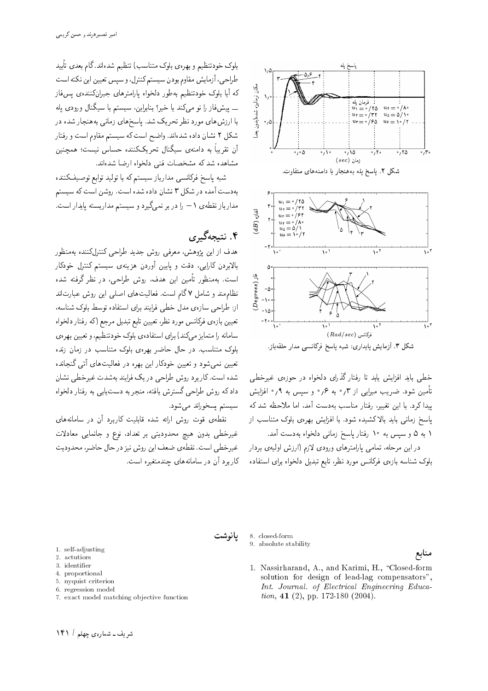

خطی باید افزایش یابد تا رفتار گذرای دلخواه در حوزهی غیرخطی تأمین شود. ضریب میرایی از ۰٫۳ به ۰٫۶ و سیس به ۰٫۹ افزایش ييدا كرد. با اين تغيير، رفتار مناسب بهدست آمد، اما ملاحظه شد كه پاسخ زمانی باید بالاکشیده شود. با افزایش بهرهی بلوک متناسب از ١ به ۵ و سیس به ١٠ رفتار پاسخ زمانی دلخواه بهدست آمد.

در این مرحله، تمامی پارامترهای ورودی لازم (ارزش اولیهی بردار بلوک شناسه بازهی فرکانس مورد نظر، تابع تبدیل دلخواه برای استفاده

بلوک خودتنظیم و بهرهی بلوک متناسب) تنظیم شدهاند.گام بعدی تأیید طراحی، آزمایش مقاوم بودن سیستم کنترل، و سپس تعیین این نکته است که آیا بلوک خودتنظیم بهطور دلخواه پارامترهای جبرانکنندهی پسفار ۔۔ پیش فاز را نو می کند یا خیر؟ بنابراین، سیستم با سیگنال ورودی یله با ارزش های مورد نظر تحریک شد. یاسخهای زمانی بههنجار شده در شکل ۲ نشان داده شدهاند. واضح است که سیستم مقاوم است و رفتار آن تقریباً به دامنهی سیگنال تحریککننده حساس نیست؛ همچنین مشاهده شد که مشخصات فنی دلخواه ارضا شدهاند.

شبه پاسخ فرکانسی مدارباز سیستم که با تولید توابع توصیفکننده بهدست آمده در شکل ۳ نشان داده شده است. روشن است که سیستم مدارباز نقطهی ۱ – را در بر نمیگیرد و سیستم مداربسته پایدار است.

## ۴. نتېچەگىرى

هدف از این پژوهش، معرفی روش جدید طراحی کنترلکننده بهمنظور .<br>بالابردن کارایی، دقت و پایین آوردن هزینهی سیستم کنترل خودکار است. بهمنظور تأمین این هدف، روش طراحی، در نظر گرفته شده نظام مند و شامل ۷ گام است. فعالیتهای اصلی این روش عبارتاند از: طراحی سازهی مدل خطی فرایند برای استفاده توسط بلوک شناسه، تعیین بازهی فرکانس مورد نظر، تعیین تابع تبدیل مرجع (که رفتار دلخواه سامانه را متمایز میکند) برای استفادهی بلوک خودتنظیم، و تعیین بهرهی بلوک متناسب. در حال حاضر بهرهی بلوک متناسب در زمان زنده تعیین نمی شود و تعیین خودکار این بهره در فعالیتهای آتی گنجانده شده است.کاربرد روش طراحی در یک فرایند بهشدت غیرخطی نشان داد که روش طراحی گسترش یافته، منجر به دست یابی به رفتار دلخواه سیستم پسخوراند می شود.

نقطهی قوت روش ارائه شده قابلیت کاربرد آن در سامانههای غیرخطی بدون هیچ محدودیتی بر تعداد، نوع و جانمایی معادلات غیرخطی است. نقطهی ضعف این روش نیز در حال حاضر، محدودیت کاربرد آن در سامانههای چندمتغیره است.



8. closed-form 9. absolute stability

منابع

1. Nassirharand, A., and Karimi, H., "Closed-form solution for design of lead-lag compensators", Int. Journal. of Electrical Engineering Education, 41 (2), pp. 172-180 (2004).

- 1. self-adjusting
- 2. actutiors
- 3. identifier
- 4. proportional
- 5. nyquist criterion
- 6. regression model
- 7. exact model matching objective function